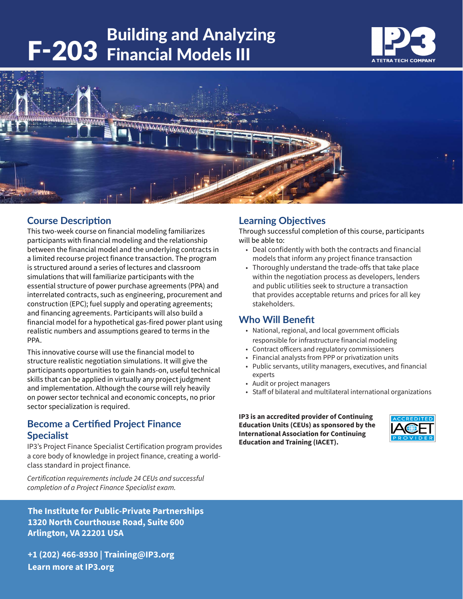# Building and Analyzing<br>F-203 Financial Models III





# **Course Description**

This two-week course on financial modeling familiarizes participants with financial modeling and the relationship between the financial model and the underlying contracts in a limited recourse project finance transaction. The program is structured around a series of lectures and classroom simulations that will familiarize participants with the essential structure of power purchase agreements (PPA) and interrelated contracts, such as engineering, procurement and construction (EPC); fuel supply and operating agreements; and financing agreements. Participants will also build a financial model for a hypothetical gas-fired power plant using realistic numbers and assumptions geared to terms in the PPA.

This innovative course will use the financial model to structure realistic negotiation simulations. It will give the participants opportunities to gain hands-on, useful technical skills that can be applied in virtually any project judgment and implementation. Although the course will rely heavily on power sector technical and economic concepts, no prior sector specialization is required.

# **Become a Certified Project Finance Specialist**

IP3's Project Finance Specialist Certification program provides a core body of knowledge in project finance, creating a worldclass standard in project finance.

*Certification requirements include 24 CEUs and successful completion of a Project Finance Specialist exam.* 

**The Institute for Public-Private Partnerships 1320 North Courthouse Road, Suite 600 Arlington, VA 22201 USA**

**+1 (202) 466-8930 | Training@IP3.org Learn more at IP3.org**

# **Learning Objectives**

Through successful completion of this course, participants will be able to:

- Deal confidently with both the contracts and financial models that inform any project finance transaction
- Thoroughly understand the trade-offs that take place within the negotiation process as developers, lenders and public utilities seek to structure a transaction that provides acceptable returns and prices for all key stakeholders.

## **Who Will Benefit**

- National, regional, and local government officials responsible for infrastructure financial modeling
- Contract officers and regulatory commissioners
- Financial analysts from PPP or privatization units
- Public servants, utility managers, executives, and financial experts
- Audit or project managers
- Staff of bilateral and multilateral international organizations

**IP3 is an accredited provider of Continuing Education Units (CEUs) as sponsored by the International Association for Continuing Education and Training (IACET).**